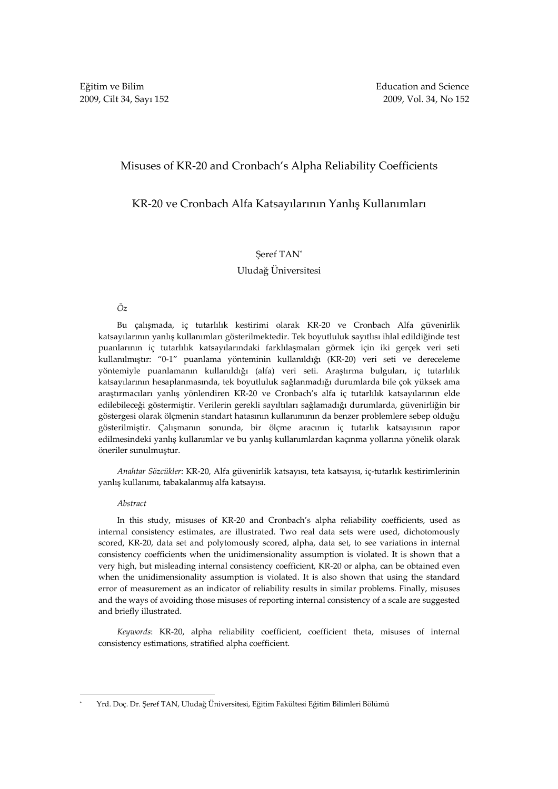## Misuses of KR-20 and Cronbach's Alpha Reliability Coefficients

# KR-20 ve Cronbach Alfa Katsayılarının Yanlış Kullanımları

## Şeref TAN\*

## Uludağ Üniversitesi

### Öz

Bu çalışmada, iç tutarlılık kestirimi olarak KR-20 ve Cronbach Alfa güvenirlik katsayılarının yanlış kullanımları gösterilmektedir. Tek boyutluluk sayıtlısı ihlal edildiğinde test puanlarının iç tutarlılık katsayılarındaki farklılaşmaları görmek için iki gerçek veri seti kullanılmıştır: "0-1" puanlama yönteminin kullanıldığı (KR-20) veri seti ve dereceleme yöntemiyle puanlamanın kullanıldığı (alfa) veri seti. Araştırma bulguları, iç tutarlılık katsayılarının hesaplanmasında, tek boyutluluk sağlanmadığı durumlarda bile çok yüksek ama araştırmacıları yanlış yönlendiren KR-20 ve Cronbach's alfa iç tutarlılık katsayılarının elde edilebileceği göstermiştir. Verilerin gerekli sayıltıları sağlamadığı durumlarda, güvenirliğin bir göstergesi olarak ölçmenin standart hatasının kullanımının da benzer problemlere sebep olduğu gösterilmiştir. Çalışmanın sonunda, bir ölçme aracının iç tutarlık katsayısının rapor edilmesindeki yanlış kullanımlar ve bu yanlış kullanımlardan kaçınma yollarına yönelik olarak öneriler sunulmuştur.

Anahtar Sözcükler: KR-20, Alfa güvenirlik katsayısı, teta katsayısı, iç-tutarlık kestirimlerinin yanlış kullanımı, tabakalanmış alfa katsayısı.

### Abstract

 $\overline{a}$ 

In this study, misuses of KR-20 and Cronbach's alpha reliability coefficients, used as internal consistency estimates, are illustrated. Two real data sets were used, dichotomously scored, KR-20, data set and polytomously scored, alpha, data set, to see variations in internal consistency coefficients when the unidimensionality assumption is violated. It is shown that a very high, but misleading internal consistency coefficient, KR-20 or alpha, can be obtained even when the unidimensionality assumption is violated. It is also shown that using the standard error of measurement as an indicator of reliability results in similar problems. Finally, misuses and the ways of avoiding those misuses of reporting internal consistency of a scale are suggested and briefly illustrated.

Keywords: KR-20, alpha reliability coefficient, coefficient theta, misuses of internal consistency estimations, stratified alpha coefficient.

<sup>\*</sup> Yrd. Doç. Dr. Şeref TAN, Uludağ Üniversitesi, Eğitim Fakültesi Eğitim Bilimleri Bölümü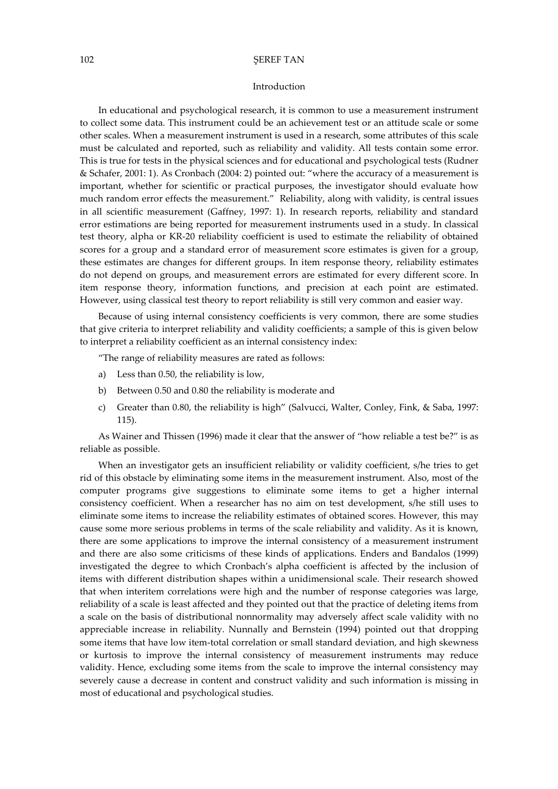### Introduction

In educational and psychological research, it is common to use a measurement instrument to collect some data. This instrument could be an achievement test or an attitude scale or some other scales. When a measurement instrument is used in a research, some attributes of this scale must be calculated and reported, such as reliability and validity. All tests contain some error. This is true for tests in the physical sciences and for educational and psychological tests (Rudner & Schafer, 2001: 1). As Cronbach (2004: 2) pointed out: "where the accuracy of a measurement is important, whether for scientific or practical purposes, the investigator should evaluate how much random error effects the measurement." Reliability, along with validity, is central issues in all scientific measurement (Gaffney, 1997: 1). In research reports, reliability and standard error estimations are being reported for measurement instruments used in a study. In classical test theory, alpha or KR-20 reliability coefficient is used to estimate the reliability of obtained scores for a group and a standard error of measurement score estimates is given for a group, these estimates are changes for different groups. In item response theory, reliability estimates do not depend on groups, and measurement errors are estimated for every different score. In item response theory, information functions, and precision at each point are estimated. However, using classical test theory to report reliability is still very common and easier way.

Because of using internal consistency coefficients is very common, there are some studies that give criteria to interpret reliability and validity coefficients; a sample of this is given below to interpret a reliability coefficient as an internal consistency index:

"The range of reliability measures are rated as follows:

- a) Less than 0.50, the reliability is low,
- b) Between 0.50 and 0.80 the reliability is moderate and
- c) Greater than 0.80, the reliability is high" (Salvucci, Walter, Conley, Fink, & Saba, 1997: 115).

As Wainer and Thissen (1996) made it clear that the answer of "how reliable a test be?" is as reliable as possible.

When an investigator gets an insufficient reliability or validity coefficient, s/he tries to get rid of this obstacle by eliminating some items in the measurement instrument. Also, most of the computer programs give suggestions to eliminate some items to get a higher internal consistency coefficient. When a researcher has no aim on test development, s/he still uses to eliminate some items to increase the reliability estimates of obtained scores. However, this may cause some more serious problems in terms of the scale reliability and validity. As it is known, there are some applications to improve the internal consistency of a measurement instrument and there are also some criticisms of these kinds of applications. Enders and Bandalos (1999) investigated the degree to which Cronbach's alpha coefficient is affected by the inclusion of items with different distribution shapes within a unidimensional scale. Their research showed that when interitem correlations were high and the number of response categories was large, reliability of a scale is least affected and they pointed out that the practice of deleting items from a scale on the basis of distributional nonnormality may adversely affect scale validity with no appreciable increase in reliability. Nunnally and Bernstein (1994) pointed out that dropping some items that have low item-total correlation or small standard deviation, and high skewness or kurtosis to improve the internal consistency of measurement instruments may reduce validity. Hence, excluding some items from the scale to improve the internal consistency may severely cause a decrease in content and construct validity and such information is missing in most of educational and psychological studies.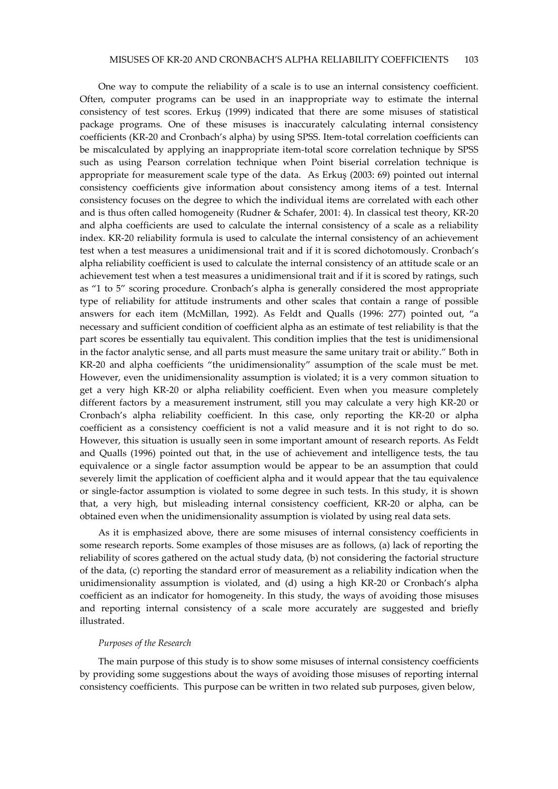One way to compute the reliability of a scale is to use an internal consistency coefficient. Often, computer programs can be used in an inappropriate way to estimate the internal consistency of test scores. Erkuş (1999) indicated that there are some misuses of statistical package programs. One of these misuses is inaccurately calculating internal consistency coefficients (KR-20 and Cronbach's alpha) by using SPSS. Item-total correlation coefficients can be miscalculated by applying an inappropriate item-total score correlation technique by SPSS such as using Pearson correlation technique when Point biserial correlation technique is appropriate for measurement scale type of the data. As Erkuş (2003: 69) pointed out internal consistency coefficients give information about consistency among items of a test. Internal consistency focuses on the degree to which the individual items are correlated with each other and is thus often called homogeneity (Rudner & Schafer, 2001: 4). In classical test theory, KR-20 and alpha coefficients are used to calculate the internal consistency of a scale as a reliability index. KR-20 reliability formula is used to calculate the internal consistency of an achievement test when a test measures a unidimensional trait and if it is scored dichotomously. Cronbach's alpha reliability coefficient is used to calculate the internal consistency of an attitude scale or an achievement test when a test measures a unidimensional trait and if it is scored by ratings, such as "1 to 5" scoring procedure. Cronbach's alpha is generally considered the most appropriate type of reliability for attitude instruments and other scales that contain a range of possible answers for each item (McMillan, 1992). As Feldt and Qualls (1996: 277) pointed out, "a necessary and sufficient condition of coefficient alpha as an estimate of test reliability is that the part scores be essentially tau equivalent. This condition implies that the test is unidimensional in the factor analytic sense, and all parts must measure the same unitary trait or ability." Both in KR-20 and alpha coefficients "the unidimensionality" assumption of the scale must be met. However, even the unidimensionality assumption is violated; it is a very common situation to get a very high KR-20 or alpha reliability coefficient. Even when you measure completely different factors by a measurement instrument, still you may calculate a very high KR-20 or Cronbach's alpha reliability coefficient. In this case, only reporting the KR-20 or alpha coefficient as a consistency coefficient is not a valid measure and it is not right to do so. However, this situation is usually seen in some important amount of research reports. As Feldt and Qualls (1996) pointed out that, in the use of achievement and intelligence tests, the tau equivalence or a single factor assumption would be appear to be an assumption that could severely limit the application of coefficient alpha and it would appear that the tau equivalence or single-factor assumption is violated to some degree in such tests. In this study, it is shown that, a very high, but misleading internal consistency coefficient, KR-20 or alpha, can be obtained even when the unidimensionality assumption is violated by using real data sets.

As it is emphasized above, there are some misuses of internal consistency coefficients in some research reports. Some examples of those misuses are as follows, (a) lack of reporting the reliability of scores gathered on the actual study data, (b) not considering the factorial structure of the data, (c) reporting the standard error of measurement as a reliability indication when the unidimensionality assumption is violated, and (d) using a high KR-20 or Cronbach's alpha coefficient as an indicator for homogeneity. In this study, the ways of avoiding those misuses and reporting internal consistency of a scale more accurately are suggested and briefly illustrated.

### Purposes of the Research

The main purpose of this study is to show some misuses of internal consistency coefficients by providing some suggestions about the ways of avoiding those misuses of reporting internal consistency coefficients. This purpose can be written in two related sub purposes, given below,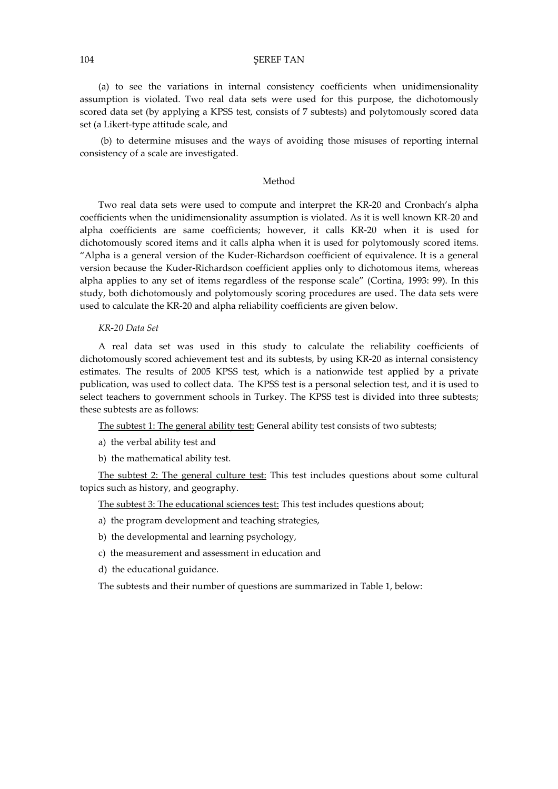(a) to see the variations in internal consistency coefficients when unidimensionality assumption is violated. Two real data sets were used for this purpose, the dichotomously scored data set (by applying a KPSS test, consists of 7 subtests) and polytomously scored data set (a Likert-type attitude scale, and

 (b) to determine misuses and the ways of avoiding those misuses of reporting internal consistency of a scale are investigated.

### Method

Two real data sets were used to compute and interpret the KR-20 and Cronbach's alpha coefficients when the unidimensionality assumption is violated. As it is well known KR-20 and alpha coefficients are same coefficients; however, it calls KR-20 when it is used for dichotomously scored items and it calls alpha when it is used for polytomously scored items. "Alpha is a general version of the Kuder-Richardson coefficient of equivalence. It is a general version because the Kuder-Richardson coefficient applies only to dichotomous items, whereas alpha applies to any set of items regardless of the response scale" (Cortina, 1993: 99). In this study, both dichotomously and polytomously scoring procedures are used. The data sets were used to calculate the KR-20 and alpha reliability coefficients are given below.

#### KR-20 Data Set

A real data set was used in this study to calculate the reliability coefficients of dichotomously scored achievement test and its subtests, by using KR-20 as internal consistency estimates. The results of 2005 KPSS test, which is a nationwide test applied by a private publication, was used to collect data. The KPSS test is a personal selection test, and it is used to select teachers to government schools in Turkey. The KPSS test is divided into three subtests; these subtests are as follows:

The subtest 1: The general ability test: General ability test consists of two subtests;

- a) the verbal ability test and
- b) the mathematical ability test.

The subtest 2: The general culture test: This test includes questions about some cultural topics such as history, and geography.

The subtest 3: The educational sciences test: This test includes questions about;

- a) the program development and teaching strategies,
- b) the developmental and learning psychology,
- c) the measurement and assessment in education and
- d) the educational guidance.

The subtests and their number of questions are summarized in Table 1, below: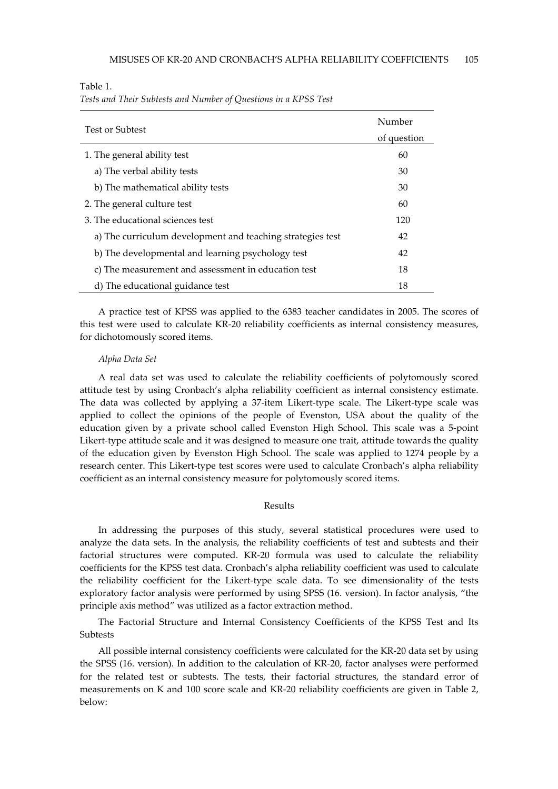Table 1.

Tests and Their Subtests and Number of Questions in a KPSS Test

| <b>Test or Subtest</b>                                     | Number<br>of question |
|------------------------------------------------------------|-----------------------|
| 1. The general ability test                                | 60                    |
| a) The verbal ability tests                                | 30                    |
| b) The mathematical ability tests                          | 30                    |
| 2. The general culture test                                | 60                    |
| 3. The educational sciences test                           | 120                   |
| a) The curriculum development and teaching strategies test | 42                    |
| b) The developmental and learning psychology test          | 42                    |
| c) The measurement and assessment in education test        | 18                    |
| d) The educational guidance test                           | 18                    |

A practice test of KPSS was applied to the 6383 teacher candidates in 2005. The scores of this test were used to calculate KR-20 reliability coefficients as internal consistency measures, for dichotomously scored items.

#### Alpha Data Set

A real data set was used to calculate the reliability coefficients of polytomously scored attitude test by using Cronbach's alpha reliability coefficient as internal consistency estimate. The data was collected by applying a 37-item Likert-type scale. The Likert-type scale was applied to collect the opinions of the people of Evenston, USA about the quality of the education given by a private school called Evenston High School. This scale was a 5-point Likert-type attitude scale and it was designed to measure one trait, attitude towards the quality of the education given by Evenston High School. The scale was applied to 1274 people by a research center. This Likert-type test scores were used to calculate Cronbach's alpha reliability coefficient as an internal consistency measure for polytomously scored items.

## Results

In addressing the purposes of this study, several statistical procedures were used to analyze the data sets. In the analysis, the reliability coefficients of test and subtests and their factorial structures were computed. KR-20 formula was used to calculate the reliability coefficients for the KPSS test data. Cronbach's alpha reliability coefficient was used to calculate the reliability coefficient for the Likert-type scale data. To see dimensionality of the tests exploratory factor analysis were performed by using SPSS (16. version). In factor analysis, "the principle axis method" was utilized as a factor extraction method.

The Factorial Structure and Internal Consistency Coefficients of the KPSS Test and Its **Subtests** 

All possible internal consistency coefficients were calculated for the KR-20 data set by using the SPSS (16. version). In addition to the calculation of KR-20, factor analyses were performed for the related test or subtests. The tests, their factorial structures, the standard error of measurements on K and 100 score scale and KR-20 reliability coefficients are given in Table 2, below: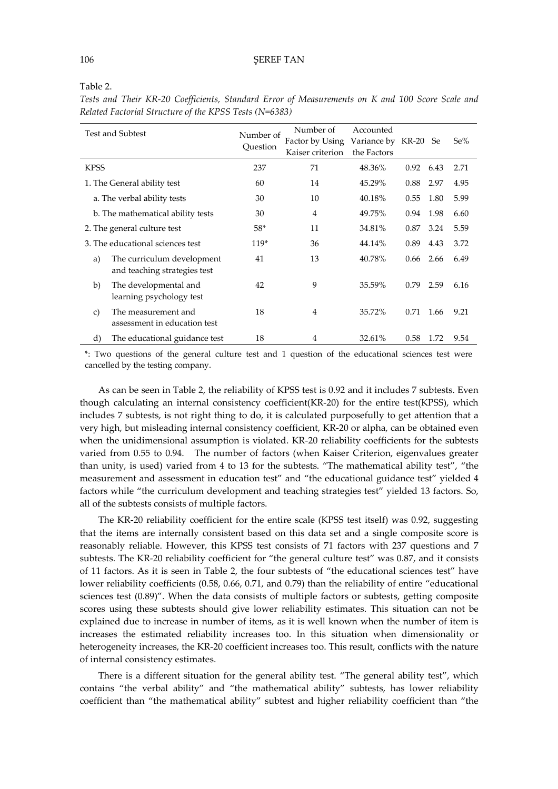|                                   | <b>Test and Subtest</b>                                    | Number of<br>Ouestion | Number of<br>Factor by Using<br>Kaiser criterion | Accounted<br>Variance by KR-20 Se<br>the Factors |      |      | Se%  |
|-----------------------------------|------------------------------------------------------------|-----------------------|--------------------------------------------------|--------------------------------------------------|------|------|------|
| <b>KPSS</b>                       |                                                            | 237                   | 71                                               | 48.36%                                           | 0.92 | 6.43 | 2.71 |
| 1. The General ability test       |                                                            | 60                    | 14                                               | 45.29%                                           | 0.88 | 2.97 | 4.95 |
| a. The verbal ability tests       |                                                            | 30                    | 10                                               | 40.18%                                           | 0.55 | 1.80 | 5.99 |
| b. The mathematical ability tests |                                                            | 30                    | $\overline{4}$                                   | 49.75%                                           | 0.94 | 1.98 | 6.60 |
| 2. The general culture test       |                                                            | $58*$                 | 11                                               | 34.81%                                           | 0.87 | 3.24 | 5.59 |
| 3. The educational sciences test  |                                                            | $119*$                | 36                                               | 44.14%                                           | 0.89 | 4.43 | 3.72 |
| a)                                | The curriculum development<br>and teaching strategies test | 41                    | 13                                               | 40.78%                                           | 0.66 | 2.66 | 6.49 |
| b)                                | The developmental and<br>learning psychology test          | 42                    | 9                                                | 35.59%                                           | 0.79 | 2.59 | 6.16 |
| $\mathbf{C}$                      | The measurement and<br>assessment in education test        | 18                    | $\overline{4}$                                   | 35.72%                                           | 0.71 | 1.66 | 9.21 |
| d)                                | The educational guidance test                              | 18                    | 4                                                | 32.61%                                           | 0.58 | 1.72 | 9.54 |

Tests and Their KR-20 Coefficients, Standard Error of Measurements on K and 100 Score Scale and Related Factorial Structure of the KPSS Tests (N=6383)

\*: Two questions of the general culture test and 1 question of the educational sciences test were cancelled by the testing company.

As can be seen in Table 2, the reliability of KPSS test is 0.92 and it includes 7 subtests. Even though calculating an internal consistency coefficient(KR-20) for the entire test(KPSS), which includes 7 subtests, is not right thing to do, it is calculated purposefully to get attention that a very high, but misleading internal consistency coefficient, KR-20 or alpha, can be obtained even when the unidimensional assumption is violated. KR-20 reliability coefficients for the subtests varied from 0.55 to 0.94. The number of factors (when Kaiser Criterion, eigenvalues greater than unity, is used) varied from 4 to 13 for the subtests. "The mathematical ability test", "the measurement and assessment in education test" and "the educational guidance test" yielded 4 factors while "the curriculum development and teaching strategies test" yielded 13 factors. So, all of the subtests consists of multiple factors.

The KR-20 reliability coefficient for the entire scale (KPSS test itself) was 0.92, suggesting that the items are internally consistent based on this data set and a single composite score is reasonably reliable. However, this KPSS test consists of 71 factors with 237 questions and 7 subtests. The KR-20 reliability coefficient for "the general culture test" was 0.87, and it consists of 11 factors. As it is seen in Table 2, the four subtests of "the educational sciences test" have lower reliability coefficients (0.58, 0.66, 0.71, and 0.79) than the reliability of entire "educational sciences test (0.89)". When the data consists of multiple factors or subtests, getting composite scores using these subtests should give lower reliability estimates. This situation can not be explained due to increase in number of items, as it is well known when the number of item is increases the estimated reliability increases too. In this situation when dimensionality or heterogeneity increases, the KR-20 coefficient increases too. This result, conflicts with the nature of internal consistency estimates.

There is a different situation for the general ability test. "The general ability test", which contains "the verbal ability" and "the mathematical ability" subtests, has lower reliability coefficient than "the mathematical ability" subtest and higher reliability coefficient than "the

Table 2.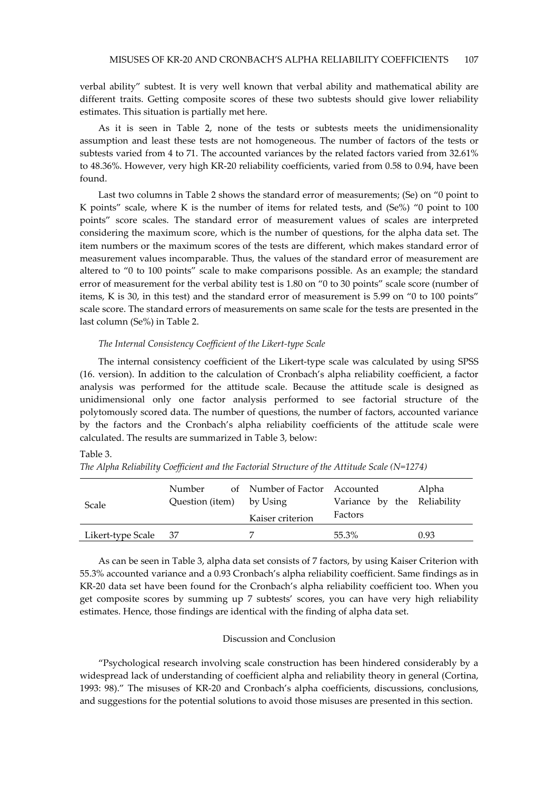verbal ability" subtest. It is very well known that verbal ability and mathematical ability are different traits. Getting composite scores of these two subtests should give lower reliability estimates. This situation is partially met here.

As it is seen in Table 2, none of the tests or subtests meets the unidimensionality assumption and least these tests are not homogeneous. The number of factors of the tests or subtests varied from 4 to 71. The accounted variances by the related factors varied from 32.61% to 48.36%. However, very high KR-20 reliability coefficients, varied from 0.58 to 0.94, have been found.

Last two columns in Table 2 shows the standard error of measurements; (Se) on "0 point to K points" scale, where K is the number of items for related tests, and (Se%) "0 point to 100 points" score scales. The standard error of measurement values of scales are interpreted considering the maximum score, which is the number of questions, for the alpha data set. The item numbers or the maximum scores of the tests are different, which makes standard error of measurement values incomparable. Thus, the values of the standard error of measurement are altered to "0 to 100 points" scale to make comparisons possible. As an example; the standard error of measurement for the verbal ability test is 1.80 on "0 to 30 points" scale score (number of items, K is 30, in this test) and the standard error of measurement is 5.99 on "0 to 100 points" scale score. The standard errors of measurements on same scale for the tests are presented in the last column (Se%) in Table 2.

### The Internal Consistency Coefficient of the Likert-type Scale

The internal consistency coefficient of the Likert-type scale was calculated by using SPSS (16. version). In addition to the calculation of Cronbach's alpha reliability coefficient, a factor analysis was performed for the attitude scale. Because the attitude scale is designed as unidimensional only one factor analysis performed to see factorial structure of the polytomously scored data. The number of questions, the number of factors, accounted variance by the factors and the Cronbach's alpha reliability coefficients of the attitude scale were calculated. The results are summarized in Table 3, below:

### Table 3.

|                   | Number                   | of Number of Factor Accounted |                             | Alpha |  |
|-------------------|--------------------------|-------------------------------|-----------------------------|-------|--|
| <b>Scale</b>      | Question (item) by Using |                               | Variance by the Reliability |       |  |
|                   |                          | Kaiser criterion              | Factors                     |       |  |
| Likert-type Scale | - 37                     |                               | 55.3%                       | 0.93  |  |

The Alpha Reliability Coefficient and the Factorial Structure of the Attitude Scale (N=1274)

As can be seen in Table 3, alpha data set consists of 7 factors, by using Kaiser Criterion with 55.3% accounted variance and a 0.93 Cronbach's alpha reliability coefficient. Same findings as in KR-20 data set have been found for the Cronbach's alpha reliability coefficient too. When you get composite scores by summing up 7 subtests' scores, you can have very high reliability estimates. Hence, those findings are identical with the finding of alpha data set.

### Discussion and Conclusion

"Psychological research involving scale construction has been hindered considerably by a widespread lack of understanding of coefficient alpha and reliability theory in general (Cortina, 1993: 98)." The misuses of KR-20 and Cronbach's alpha coefficients, discussions, conclusions, and suggestions for the potential solutions to avoid those misuses are presented in this section.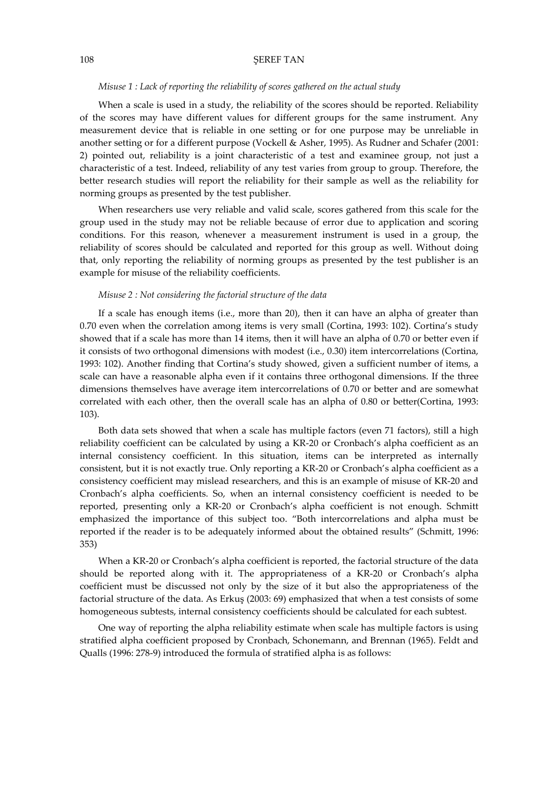### Misuse 1 : Lack of reporting the reliability of scores gathered on the actual study

When a scale is used in a study, the reliability of the scores should be reported. Reliability of the scores may have different values for different groups for the same instrument. Any measurement device that is reliable in one setting or for one purpose may be unreliable in another setting or for a different purpose (Vockell & Asher, 1995). As Rudner and Schafer (2001: 2) pointed out, reliability is a joint characteristic of a test and examinee group, not just a characteristic of a test. Indeed, reliability of any test varies from group to group. Therefore, the better research studies will report the reliability for their sample as well as the reliability for norming groups as presented by the test publisher.

When researchers use very reliable and valid scale, scores gathered from this scale for the group used in the study may not be reliable because of error due to application and scoring conditions. For this reason, whenever a measurement instrument is used in a group, the reliability of scores should be calculated and reported for this group as well. Without doing that, only reporting the reliability of norming groups as presented by the test publisher is an example for misuse of the reliability coefficients.

### Misuse 2 : Not considering the factorial structure of the data

If a scale has enough items (i.e., more than 20), then it can have an alpha of greater than 0.70 even when the correlation among items is very small (Cortina, 1993: 102). Cortina's study showed that if a scale has more than 14 items, then it will have an alpha of 0.70 or better even if it consists of two orthogonal dimensions with modest (i.e., 0.30) item intercorrelations (Cortina, 1993: 102). Another finding that Cortina's study showed, given a sufficient number of items, a scale can have a reasonable alpha even if it contains three orthogonal dimensions. If the three dimensions themselves have average item intercorrelations of 0.70 or better and are somewhat correlated with each other, then the overall scale has an alpha of 0.80 or better(Cortina, 1993: 103).

Both data sets showed that when a scale has multiple factors (even 71 factors), still a high reliability coefficient can be calculated by using a KR-20 or Cronbach's alpha coefficient as an internal consistency coefficient. In this situation, items can be interpreted as internally consistent, but it is not exactly true. Only reporting a KR-20 or Cronbach's alpha coefficient as a consistency coefficient may mislead researchers, and this is an example of misuse of KR-20 and Cronbach's alpha coefficients. So, when an internal consistency coefficient is needed to be reported, presenting only a KR-20 or Cronbach's alpha coefficient is not enough. Schmitt emphasized the importance of this subject too. "Both intercorrelations and alpha must be reported if the reader is to be adequately informed about the obtained results" (Schmitt, 1996: 353)

When a KR-20 or Cronbach's alpha coefficient is reported, the factorial structure of the data should be reported along with it. The appropriateness of a KR-20 or Cronbach's alpha coefficient must be discussed not only by the size of it but also the appropriateness of the factorial structure of the data. As Erkuş (2003: 69) emphasized that when a test consists of some homogeneous subtests, internal consistency coefficients should be calculated for each subtest.

One way of reporting the alpha reliability estimate when scale has multiple factors is using stratified alpha coefficient proposed by Cronbach, Schonemann, and Brennan (1965). Feldt and Qualls (1996: 278-9) introduced the formula of stratified alpha is as follows: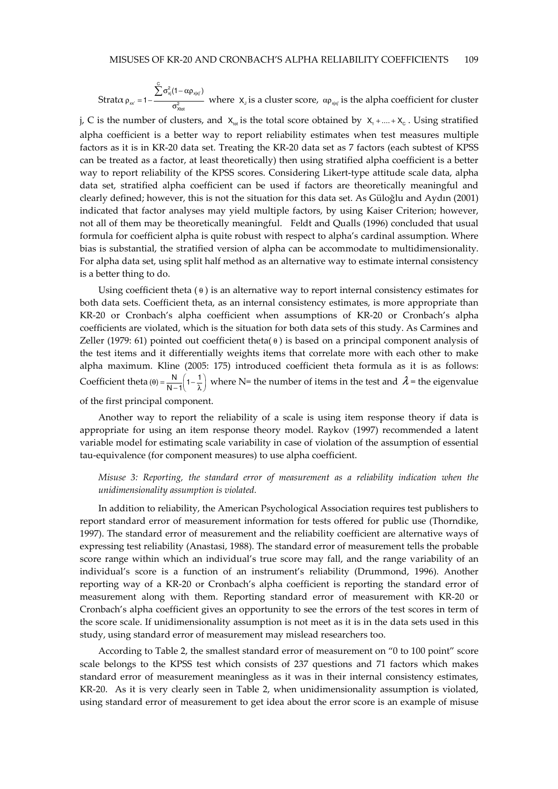Stratα  $\sum\limits_{i=1}^N\sigma_{\rm xj}^2(1-\alpha\rho_{\rm xjxi})$  $\sigma_{\text{Xtot}}^2$  $(1 - \alpha \rho_{\text{xixi}})$  $1-\frac{\sum_{y}^{1}C_{x}^{2} + C_{y}^{2}}{2}$ ′  $\sigma^2_{\rm zi}(1-\alpha\rho$  $\rho_{xx'} = 1 - \frac{1}{\sigma}$ ∑ where  $X_j$  is a cluster score,  $\alpha_{\rho_{x|x_i}}$  is the alpha coefficient for cluster j, C is the number of clusters, and  $X_{tot}$  is the total score obtained by  $X_1 + ... + X_c$ . Using stratified alpha coefficient is a better way to report reliability estimates when test measures multiple factors as it is in KR-20 data set. Treating the KR-20 data set as 7 factors (each subtest of KPSS can be treated as a factor, at least theoretically) then using stratified alpha coefficient is a better

way to report reliability of the KPSS scores. Considering Likert-type attitude scale data, alpha data set, stratified alpha coefficient can be used if factors are theoretically meaningful and clearly defined; however, this is not the situation for this data set. As Güloğlu and Aydın (2001) indicated that factor analyses may yield multiple factors, by using Kaiser Criterion; however, not all of them may be theoretically meaningful. Feldt and Qualls (1996) concluded that usual formula for coefficient alpha is quite robust with respect to alpha's cardinal assumption. Where bias is substantial, the stratified version of alpha can be accommodate to multidimensionality. For alpha data set, using split half method as an alternative way to estimate internal consistency is a better thing to do.

Using coefficient theta  $(0)$  is an alternative way to report internal consistency estimates for both data sets. Coefficient theta, as an internal consistency estimates, is more appropriate than KR-20 or Cronbach's alpha coefficient when assumptions of KR-20 or Cronbach's alpha coefficients are violated, which is the situation for both data sets of this study. As Carmines and Zeller (1979: 61) pointed out coefficient theta( $\theta$ ) is based on a principal component analysis of the test items and it differentially weights items that correlate more with each other to make alpha maximum. Kline (2005: 175) introduced coefficient theta formula as it is as follows: Coefficient theta  $(\theta) = \frac{N}{N-1} \left( 1 - \frac{1}{\lambda} \right)$  where N= the number of items in the test and  $\lambda$  = the eigenvalue of the first principal component.

Another way to report the reliability of a scale is using item response theory if data is appropriate for using an item response theory model. Raykov (1997) recommended a latent variable model for estimating scale variability in case of violation of the assumption of essential tau-equivalence (for component measures) to use alpha coefficient.

## Misuse 3: Reporting, the standard error of measurement as a reliability indication when the unidimensionality assumption is violated.

In addition to reliability, the American Psychological Association requires test publishers to report standard error of measurement information for tests offered for public use (Thorndike, 1997). The standard error of measurement and the reliability coefficient are alternative ways of expressing test reliability (Anastasi, 1988). The standard error of measurement tells the probable score range within which an individual's true score may fall, and the range variability of an individual's score is a function of an instrument's reliability (Drummond, 1996). Another reporting way of a KR-20 or Cronbach's alpha coefficient is reporting the standard error of measurement along with them. Reporting standard error of measurement with KR-20 or Cronbach's alpha coefficient gives an opportunity to see the errors of the test scores in term of the score scale. If unidimensionality assumption is not meet as it is in the data sets used in this study, using standard error of measurement may mislead researchers too.

According to Table 2, the smallest standard error of measurement on "0 to 100 point" score scale belongs to the KPSS test which consists of 237 questions and 71 factors which makes standard error of measurement meaningless as it was in their internal consistency estimates, KR-20. As it is very clearly seen in Table 2, when unidimensionality assumption is violated, using standard error of measurement to get idea about the error score is an example of misuse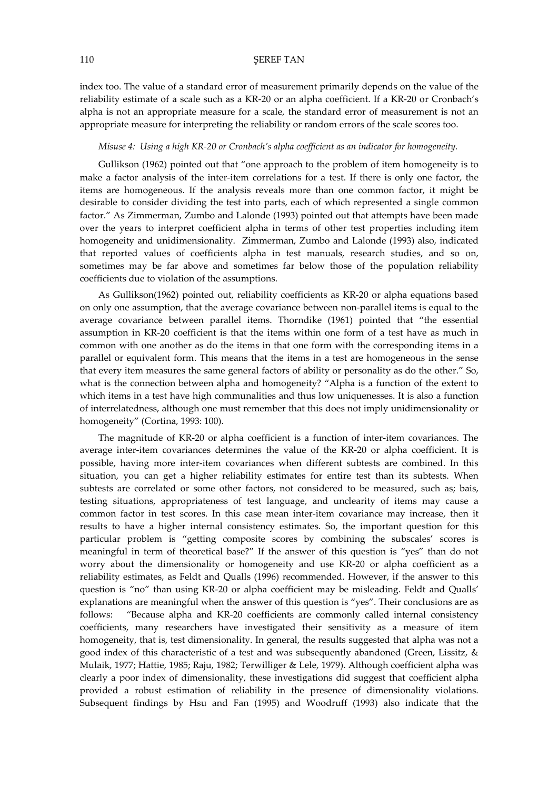index too. The value of a standard error of measurement primarily depends on the value of the reliability estimate of a scale such as a KR-20 or an alpha coefficient. If a KR-20 or Cronbach's alpha is not an appropriate measure for a scale, the standard error of measurement is not an appropriate measure for interpreting the reliability or random errors of the scale scores too.

### Misuse 4: Using a high KR-20 or Cronbach's alpha coefficient as an indicator for homogeneity.

Gullikson (1962) pointed out that "one approach to the problem of item homogeneity is to make a factor analysis of the inter-item correlations for a test. If there is only one factor, the items are homogeneous. If the analysis reveals more than one common factor, it might be desirable to consider dividing the test into parts, each of which represented a single common factor." As Zimmerman, Zumbo and Lalonde (1993) pointed out that attempts have been made over the years to interpret coefficient alpha in terms of other test properties including item homogeneity and unidimensionality. Zimmerman, Zumbo and Lalonde (1993) also, indicated that reported values of coefficients alpha in test manuals, research studies, and so on, sometimes may be far above and sometimes far below those of the population reliability coefficients due to violation of the assumptions.

As Gullikson(1962) pointed out, reliability coefficients as KR-20 or alpha equations based on only one assumption, that the average covariance between non-parallel items is equal to the average covariance between parallel items. Thorndike (1961) pointed that "the essential assumption in KR-20 coefficient is that the items within one form of a test have as much in common with one another as do the items in that one form with the corresponding items in a parallel or equivalent form. This means that the items in a test are homogeneous in the sense that every item measures the same general factors of ability or personality as do the other." So, what is the connection between alpha and homogeneity? "Alpha is a function of the extent to which items in a test have high communalities and thus low uniquenesses. It is also a function of interrelatedness, although one must remember that this does not imply unidimensionality or homogeneity" (Cortina, 1993: 100).

The magnitude of KR-20 or alpha coefficient is a function of inter-item covariances. The average inter-item covariances determines the value of the KR-20 or alpha coefficient. It is possible, having more inter-item covariances when different subtests are combined. In this situation, you can get a higher reliability estimates for entire test than its subtests. When subtests are correlated or some other factors, not considered to be measured, such as; bais, testing situations, appropriateness of test language, and unclearity of items may cause a common factor in test scores. In this case mean inter-item covariance may increase, then it results to have a higher internal consistency estimates. So, the important question for this particular problem is "getting composite scores by combining the subscales' scores is meaningful in term of theoretical base?" If the answer of this question is "yes" than do not worry about the dimensionality or homogeneity and use KR-20 or alpha coefficient as a reliability estimates, as Feldt and Qualls (1996) recommended. However, if the answer to this question is "no" than using KR-20 or alpha coefficient may be misleading. Feldt and Qualls' explanations are meaningful when the answer of this question is "yes". Their conclusions are as follows: "Because alpha and KR-20 coefficients are commonly called internal consistency coefficients, many researchers have investigated their sensitivity as a measure of item homogeneity, that is, test dimensionality. In general, the results suggested that alpha was not a good index of this characteristic of a test and was subsequently abandoned (Green, Lissitz, & Mulaik, 1977; Hattie, 1985; Raju, 1982; Terwilliger & Lele, 1979). Although coefficient alpha was clearly a poor index of dimensionality, these investigations did suggest that coefficient alpha provided a robust estimation of reliability in the presence of dimensionality violations. Subsequent findings by Hsu and Fan (1995) and Woodruff (1993) also indicate that the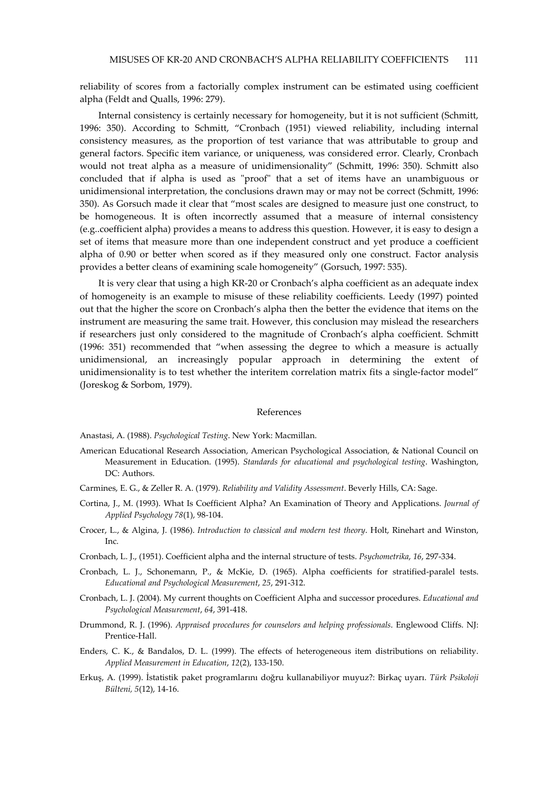reliability of scores from a factorially complex instrument can be estimated using coefficient alpha (Feldt and Qualls, 1996: 279).

Internal consistency is certainly necessary for homogeneity, but it is not sufficient (Schmitt, 1996: 350). According to Schmitt, "Cronbach (1951) viewed reliability, including internal consistency measures, as the proportion of test variance that was attributable to group and general factors. Specific item variance, or uniqueness, was considered error. Clearly, Cronbach would not treat alpha as a measure of unidimensionality" (Schmitt, 1996: 350). Schmitt also concluded that if alpha is used as "proof" that a set of items have an unambiguous or unidimensional interpretation, the conclusions drawn may or may not be correct (Schmitt, 1996: 350). As Gorsuch made it clear that "most scales are designed to measure just one construct, to be homogeneous. It is often incorrectly assumed that a measure of internal consistency (e.g..coefficient alpha) provides a means to address this question. However, it is easy to design a set of items that measure more than one independent construct and yet produce a coefficient alpha of 0.90 or better when scored as if they measured only one construct. Factor analysis provides a better cleans of examining scale homogeneity" (Gorsuch, 1997: 535).

It is very clear that using a high KR-20 or Cronbach's alpha coefficient as an adequate index of homogeneity is an example to misuse of these reliability coefficients. Leedy (1997) pointed out that the higher the score on Cronbach's alpha then the better the evidence that items on the instrument are measuring the same trait. However, this conclusion may mislead the researchers if researchers just only considered to the magnitude of Cronbach's alpha coefficient. Schmitt (1996: 351) recommended that "when assessing the degree to which a measure is actually unidimensional, an increasingly popular approach in determining the extent of unidimensionality is to test whether the interitem correlation matrix fits a single-factor model" (Joreskog & Sorbom, 1979).

#### References

Anastasi, A. (1988). Psychological Testing. New York: Macmillan.

- American Educational Research Association, American Psychological Association, & National Council on Measurement in Education. (1995). Standards for educational and psychological testing. Washington, DC: Authors.
- Carmines, E. G., & Zeller R. A. (1979). Reliability and Validity Assessment. Beverly Hills, CA: Sage.
- Cortina, J., M. (1993). What Is Coefficient Alpha? An Examination of Theory and Applications. Journal of Applied Psychology 78(1), 98-104.
- Crocer, L., & Algina, J. (1986). Introduction to classical and modern test theory. Holt, Rinehart and Winston, Inc.
- Cronbach, L. J., (1951). Coefficient alpha and the internal structure of tests. Psychometrika, 16, 297-334.
- Cronbach, L. J., Schonemann, P., & McKie, D. (1965). Alpha coefficients for stratified-paralel tests. Educational and Psychological Measurement, 25, 291-312.
- Cronbach, L. J. (2004). My current thoughts on Coefficient Alpha and successor procedures. Educational and Psychological Measurement, 64, 391-418.
- Drummond, R. J. (1996). Appraised procedures for counselors and helping professionals. Englewood Cliffs. NJ: Prentice-Hall.
- Enders, C. K., & Bandalos, D. L. (1999). The effects of heterogeneous item distributions on reliability. Applied Measurement in Education, 12(2), 133-150.
- Erkuş, A. (1999). İstatistik paket programlarını doğru kullanabiliyor muyuz?: Birkaç uyarı. Türk Psikoloji Bülteni, 5(12), 14-16.